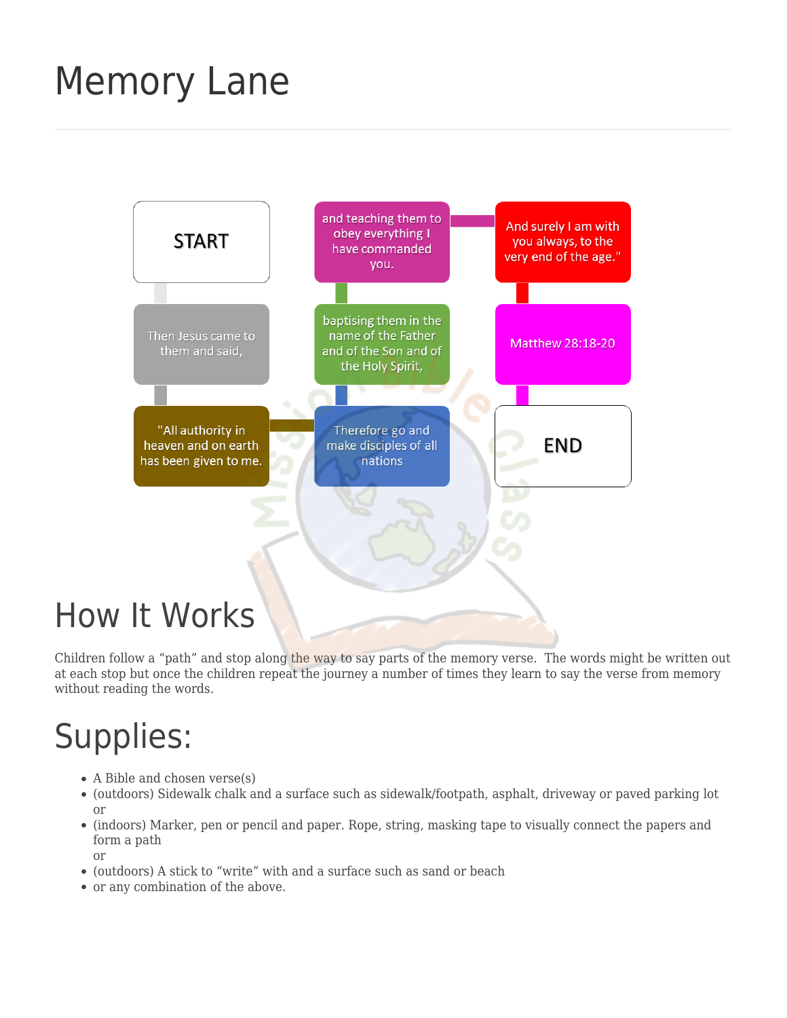# [Memory Lane](https://missionbibleclass.org/teaching-ideas/memory-verse-activities/memory-lane/)



Children follow a "path" and stop along the way to say parts of the memory verse. The words might be written out at each stop but once the children repeat the journey a number of times they learn to say the verse from memory without reading the words.

## Supplies:

- A Bible and chosen verse(s)
- (outdoors) Sidewalk chalk and a surface such as sidewalk/footpath, asphalt, driveway or paved parking lot or
- (indoors) Marker, pen or pencil and paper. Rope, string, masking tape to visually connect the papers and form a path

or

- (outdoors) A stick to "write" with and a surface such as sand or beach
- or any combination of the above.